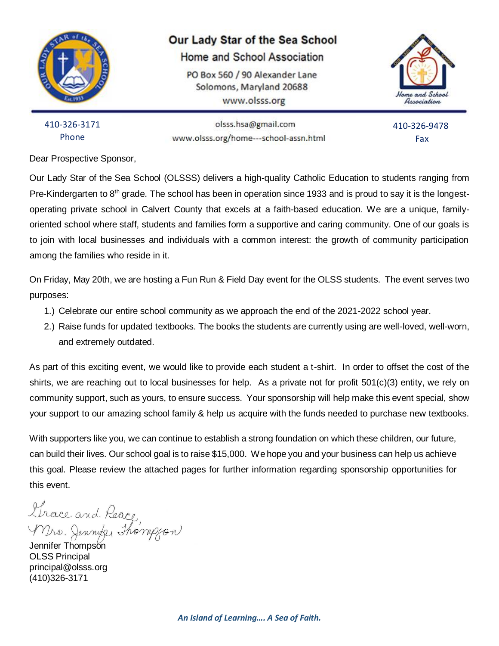

#### Our Lady Star of the Sea School

Home and School Association

PO Box 560 / 90 Alexander Lane Solomons, Maryland 20688 www.olsss.org



410-326-3171 Phone

olsss.hsa@gmail.com www.olsss.org/home---school-assn.html

 410-326-9478 Fax

Dear Prospective Sponsor,

Our Lady Star of the Sea School (OLSSS) delivers a high-quality Catholic Education to students ranging from Pre-Kindergarten to 8<sup>th</sup> grade. The school has been in operation since 1933 and is proud to say it is the longestoperating private school in Calvert County that excels at a faith-based education. We are a unique, familyoriented school where staff, students and families form a supportive and caring community. One of our goals is to join with local businesses and individuals with a common interest: the growth of community participation among the families who reside in it.

On Friday, May 20th, we are hosting a Fun Run & Field Day event for the OLSS students. The event serves two purposes:

- 1.) Celebrate our entire school community as we approach the end of the 2021-2022 school year.
- 2.) Raise funds for updated textbooks. The books the students are currently using are well-loved, well-worn, and extremely outdated.

As part of this exciting event, we would like to provide each student a t-shirt. In order to offset the cost of the shirts, we are reaching out to local businesses for help. As a private not for profit 501(c)(3) entity, we rely on community support, such as yours, to ensure success. Your sponsorship will help make this event special, show your support to our amazing school family & help us acquire with the funds needed to purchase new textbooks.

With supporters like you, we can continue to establish a strong foundation on which these children, our future, can build their lives. Our school goal is to raise \$15,000. We hope you and your business can help us achieve this goal. Please review the attached pages for further information regarding sponsorship opportunities for this event.

Lhace and Peace<br>Mrs. Jennike Thompson

OLSS Principal principal@olsss.org (410)326-3171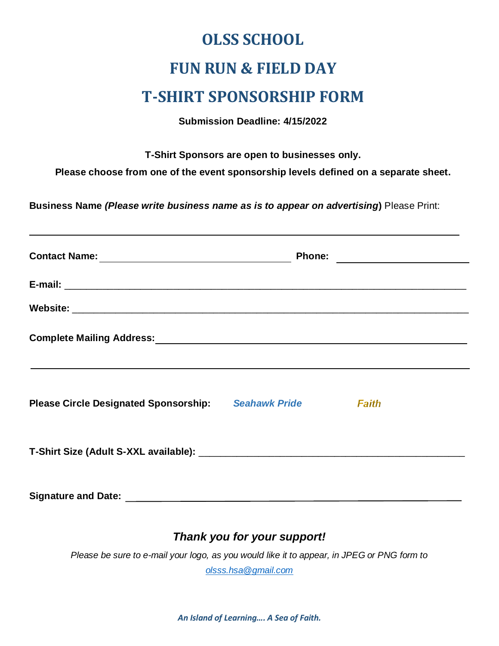# **OLSS SCHOOL FUN RUN & FIELD DAY T-SHIRT SPONSORSHIP FORM**

**Submission Deadline: 4/15/2022**

**T-Shirt Sponsors are open to businesses only.**

**Please choose from one of the event sponsorship levels defined on a separate sheet.**

**Business Name** *(Please write business name as is to appear on advertising***)** Please Print:

| ,我们也不能会在这里,我们也不能会在这里,我们也不能会在这里,我们也不能会在这里,我们也不能会在这里,我们也不能会在这里,我们也不能会不能会不能会。""我们,我们 |       |
|-----------------------------------------------------------------------------------|-------|
| Please Circle Designated Sponsorship: Seahawk Pride                               | Faith |
|                                                                                   |       |
|                                                                                   |       |

### *Thank you for your support!*

*Please be sure to e-mail your logo, as you would like it to appear, in JPEG or PNG form to* 

*[olsss.hsa@gmail.com](mailto:olsss.hsa@gmail.com)*